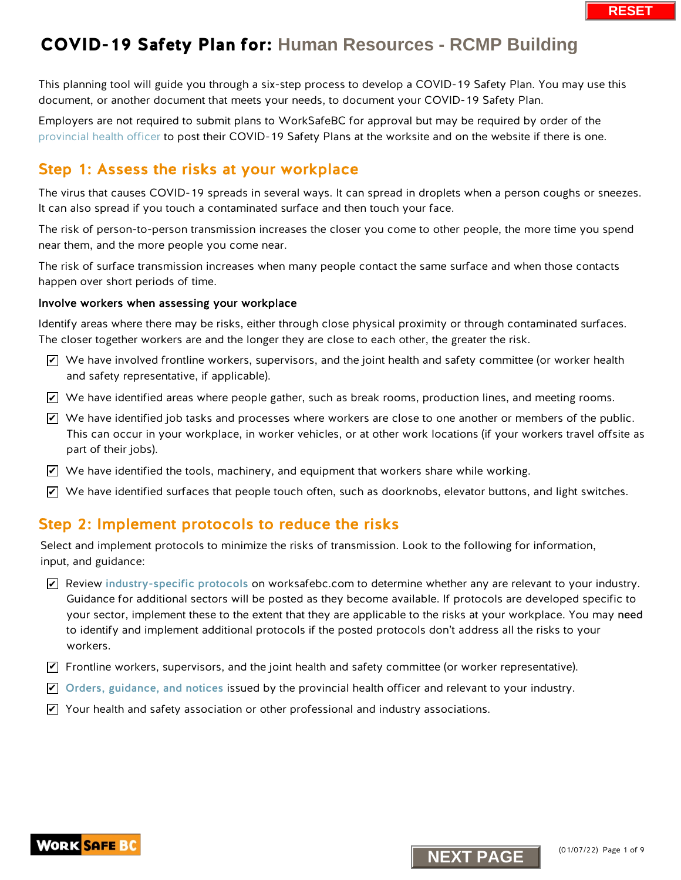This planning tool will guide you through a six-step process to develop a COVID-19 Safety Plan. You may use this document, or another document that meets your needs, to document your COVID-19 Safety Plan.

Employers are not required to submit plans to WorkSafeBC for approval but may be required by order of the [provincial health officer](https://www2.gov.bc.ca/gov/content/health/about-bc-s-health-care-system/office-of-the-provincial-health-officer/current-health-topics/covid-19-novel-coronavirus) to post their COVID-19 Safety Plans at the worksite and on the website if there is one.

### Step 1: Assess the risks at your workplace

The virus that causes COVID-19 spreads in several ways. It can spread in droplets when a person coughs or sneezes. It can also spread if you touch a contaminated surface and then touch your face.

The risk of person-to-person transmission increases the closer you come to other people, the more time you spend near them, and the more people you come near.

The risk of surface transmission increases when many people contact the same surface and when those contacts happen over short periods of time.

#### Involve workers when assessing your workplace

Identify areas where there may be risks, either through close physical proximity or through contaminated surfaces. The closer together workers are and the longer they are close to each other, the greater the risk.

- $\triangledown$  We have involved frontline workers, supervisors, and the joint health and safety committee (or worker health and safety representative, if applicable).
- $\blacktriangleright$  We have identified areas where people gather, such as break rooms, production lines, and meeting rooms.
- $\blacktriangleright$  We have identified job tasks and processes where workers are close to one another or members of the public. This can occur in your workplace, in worker vehicles, or at other work locations (if your workers travel offsite as part of their jobs).
- $\blacktriangleright$  We have identified the tools, machinery, and equipment that workers share while working.
- $\blacktriangleright$  We have identified surfaces that people touch often, such as doorknobs, elevator buttons, and light switches.

### Step 2: Implement protocols to reduce the risks

Select and implement protocols to minimize the risks of transmission. Look to the following for information, input, and guidance:

 $\blacktriangleright$  Review [industry-specific protocols](https://www.worksafebc.com/en/covid-19/industry-specific-information) on worksafebc.com to determine whether any are relevant to your industry. Guidance for additional sectors will be posted as they become available. If protocols are developed specific to your sector, implement these to the extent that they are applicable to the risks at your workplace. You may need to identify and implement additional protocols if the posted protocols don't address all the risks to your workers. **New the involved frontline workers, supervisors, and the joint health and safety committed<br>
and safety representative, if applicable).**<br> **NEXT PAGES AND MAGE AND MAGE AND MAGE AND MAGE AND MAGE AND MAGE AND MAGE AND MAGE** 

- $\blacktriangledown$  Frontline workers, supervisors, and the joint health and safety committee (or worker representative).
- $\blacktriangleright$  [Orders, guidance, and notices](https://www2.gov.bc.ca/gov/content/health/about-bc-s-health-care-system/office-of-the-provincial-health-officer/current-health-topics/covid-19-novel-coronavirus) issued by the provincial health officer and relevant to your industry.
- $\blacktriangleright$  Your health and safety association or other professional and industry associations.



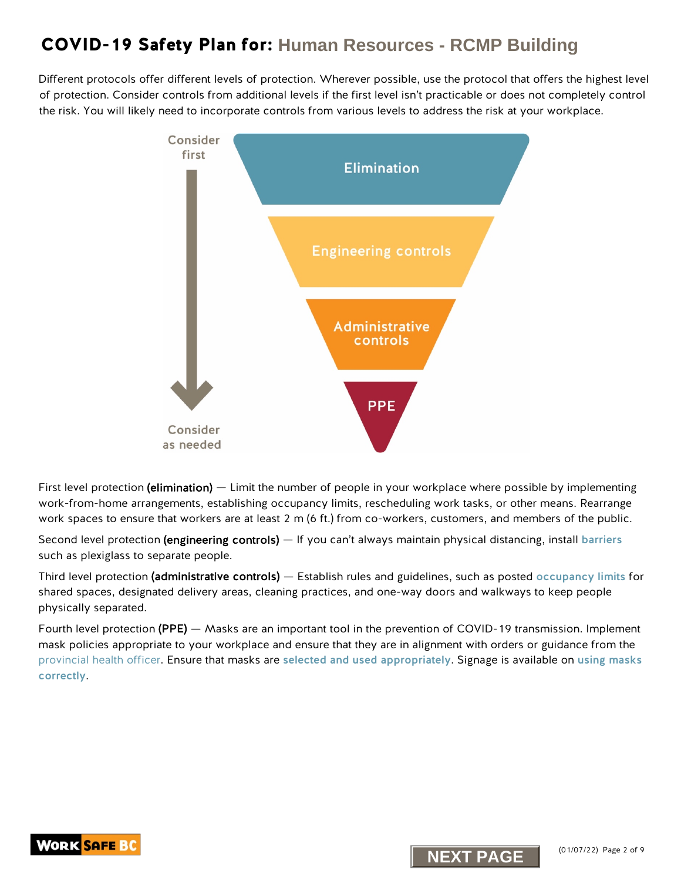Different protocols offer different levels of protection. Wherever possible, use the protocol that offers the highest level of protection. Consider controls from additional levels if the first level isn't practicable or does not completely control the risk. You will likely need to incorporate controls from various levels to address the risk at your workplace.



First level protection (elimination) — Limit the number of people in your workplace where possible by implementing work-from-home arrangements, establishing occupancy limits, rescheduling work tasks, or other means. Rearrange work spaces to ensure that workers are at least 2 m (6 ft.) from co-workers, customers, and members of the public.

Second level protection (engineering controls) — If you can't always maintain physical distancing, install [barriers](https://www.worksafebc.com/en/resources/health-safety/information-sheets/covid-19-health-safety-designing-effective-barriers?lang=en) such as plexiglass to separate people.

Third level protection (administrative controls) — Establish rules and guidelines, such as posted [occupancy limits](https://www.worksafebc.com/en/resources/health-safety/posters/help-prevent-spread-covid-19-occupancy-limit?lang=en) for shared spaces, designated delivery areas, cleaning practices, and one-way doors and walkways to keep people physically separated.

Fourth level protection (PPE) — Masks are an important tool in the prevention of COVID-19 transmission. Implement mask policies appropriate to your workplace and ensure that they are in alignment with orders or guidance from the [provincial health officer.](https://www2.gov.bc.ca/gov/content/health/about-bc-s-health-care-system/office-of-the-provincial-health-officer/current-health-topics/covid-19-novel-coronavirus) Ensure that masks are [selected and used](http://www.bccdc.ca/health-info/diseases-conditions/covid-19/prevention-risks/masks) appropriately. Signage is available on [using masks](https://www.worksafebc.com/en/resources/health-safety/information-sheets/covid-19-health-safety-selecting-using-masks?lang=en)  [correctly](https://www.worksafebc.com/en/resources/health-safety/posters/help-prevent-spread-covid-19-how-to-use-mask?lang=en).



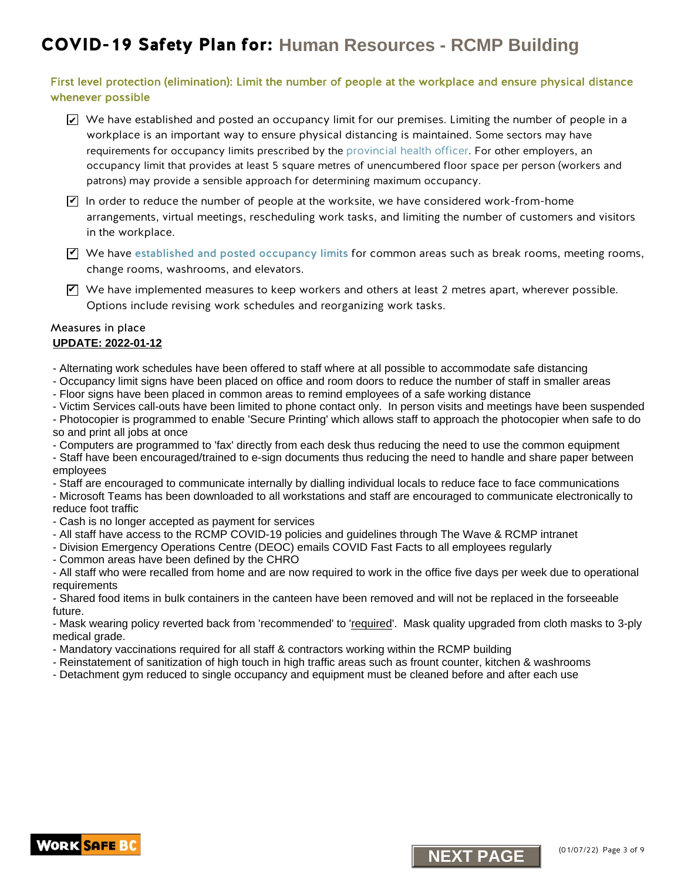#### First level protection (elimination): Limit the number of people at the workplace and ensure physical distance whenever possible

- $\blacktriangleright$  We have established and posted an occupancy limit for our premises. Limiting the number of people in a workplace is an important way to ensure physical distancing is maintained. Some sectors may have requirements for occupancy limits prescribed by the [provincial health officer. F](https://www2.gov.bc.ca/gov/content/health/about-bc-s-health-care-system/office-of-the-provincial-health-officer/current-health-topics/covid-19-novel-coronavirus)or other employers, an occupancy limit that provides at least 5 square metres of unencumbered floor space per person (workers and patrons) may provide a sensible approach for determining maximum occupancy.
- $\blacktriangledown$  In order to reduce the number of people at the worksite, we have considered work-from-home arrangements, virtual meetings, rescheduling work tasks, and limiting the number of customers and visitors in the workplace.
- $\Psi$  We have [established and posted occupancy limits](http://www.worksafebc.com/en/resources/health-safety/posters/help-prevent-spread-covid-19-occupancy-limit?lang=en) for common areas such as break rooms, meeting rooms, change rooms, washrooms, and elevators.
- $\blacktriangleright$  We have implemented measures to keep workers and others at least 2 metres apart, wherever possible. Options include revising work schedules and reorganizing work tasks. <u>Mevie implemented</u> measures to keep workers and others at least 2 metres apart,<br>
Ne have implemented measures to keep workers and reorganizing work tasks.<br> **AME: 2022-01-12**<br> **AME: 2022-01-12**<br> **AME: 2022-01-12**<br> **NATE:**

#### Measures in place **UPDATE: 2022-01-12**

- Alternating work schedules have been offered to staff where at all possible to accommodate safe distancing

- Occupancy limit signs have been placed on office and room doors to reduce the number of staff in smaller areas
- Floor signs have been placed in common areas to remind employees of a safe working distance

- Victim Services call-outs have been limited to phone contact only. In person visits and meetings have been suspended

- Photocopier is programmed to enable 'Secure Printing' which allows staff to approach the photocopier when safe to do so and print all jobs at once

- Computers are programmed to 'fax' directly from each desk thus reducing the need to use the common equipment

- Staff have been encouraged/trained to e-sign documents thus reducing the need to handle and share paper between employees

- Staff are encouraged to communicate internally by dialling individual locals to reduce face to face communications

- Microsoft Teams has been downloaded to all workstations and staff are encouraged to communicate electronically to reduce foot traffic

- Cash is no longer accepted as payment for services

- All staff have access to the RCMP COVID-19 policies and guidelines through The Wave & RCMP intranet
- Division Emergency Operations Centre (DEOC) emails COVID Fast Facts to all employees regularly
- Common areas have been defined by the CHRO

- All staff who were recalled from home and are now required to work in the office five days per week due to operational requirements

- Shared food items in bulk containers in the canteen have been removed and will not be replaced in the forseeable future.

- Mask wearing policy reverted back from 'recommended' to 'required'. Mask quality upgraded from cloth masks to 3-ply medical grade.

- Mandatory vaccinations required for all staff & contractors working within the RCMP building
- Reinstatement of sanitization of high touch in high traffic areas such as frount counter, kitchen & washrooms
- Detachment gym reduced to single occupancy and equipment must be cleaned before and after each use



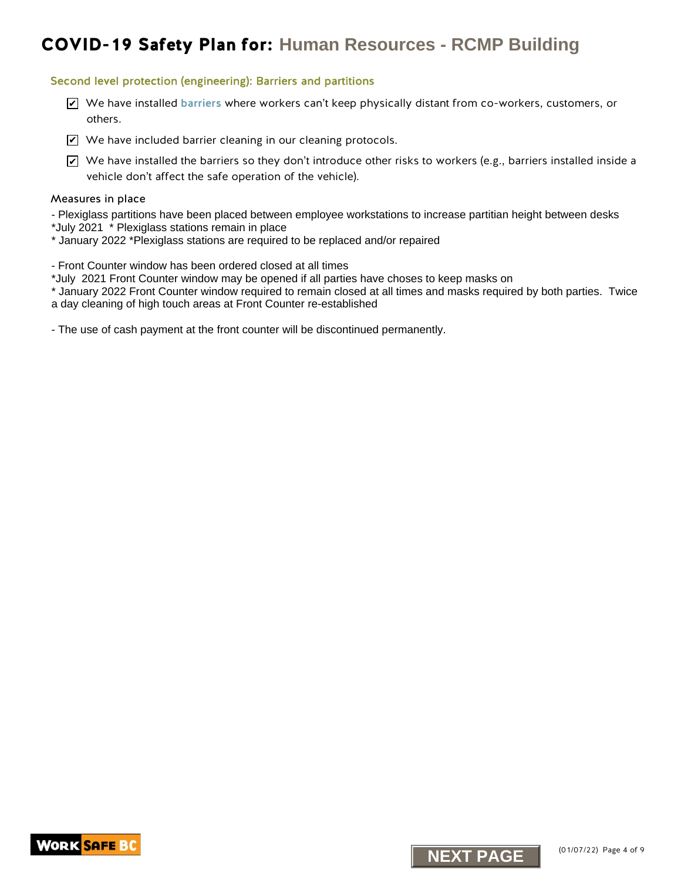#### Second level protection (engineering): Barriers and partitions

- We have installed [barriers](https://www.worksafebc.com/en/resources/health-safety/information-sheets/covid-19-health-safety-designing-effective-barriers?lang=en) where workers can't keep physically distant from co-workers, customers, or others.
- $\blacktriangleright$  We have included barrier cleaning in our cleaning protocols.
- $\blacktriangleright$  We have installed the barriers so they don't introduce other risks to workers (e.g., barriers installed inside a vehicle don't affect the safe operation of the vehicle). X <sup>Ne have</sup> installed barriers where workers can't keep physically distant from co-work<br>
2 We have installed barrier cleaning in our cleaning protocols.<br>
2 We have installed the barriers of their value of the reduction<br>
ve

#### Measures in place

- Plexiglass partitions have been placed between employee workstations to increase partitian height between desks
- \*July 2021 \* Plexiglass stations remain in place
- \* January 2022 \*Plexiglass stations are required to be replaced and/or repaired
- Front Counter window has been ordered closed at all times
- \*July 2021 Front Counter window may be opened if all parties have choses to keep masks on
- \* January 2022 Front Counter window required to remain closed at all times and masks required by both parties. Twice a day cleaning of high touch areas at Front Counter re-established
- The use of cash payment at the front counter will be discontinued permanently.

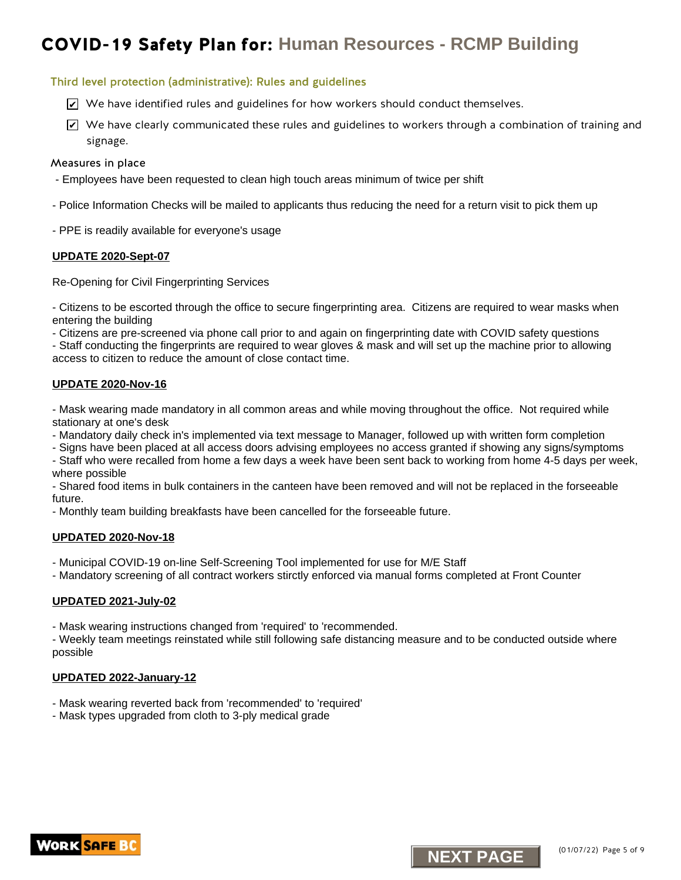#### Third level protection (administrative): Rules and guidelines

- $\trianglerighteq$  We have identified rules and guidelines for how workers should conduct themselves.
- $\blacktriangleright$  We have clearly communicated these rules and guidelines to workers through a combination of training and signage. K. We have identified rules and guidelines for how workers should conduct themselves.<br>We have clearly communicated these rules and guidelines to workers through a communicated the clear in place assume in place and guideli

#### Measures in place

- Employees have been requested to clean high touch areas minimum of twice per shift
- Police Information Checks will be mailed to applicants thus reducing the need for a return visit to pick them up
- PPE is readily available for everyone's usage

#### **UPDATE 2020-Sept-07**

Re-Opening for Civil Fingerprinting Services

- Citizens to be escorted through the office to secure fingerprinting area. Citizens are required to wear masks when entering the building

- Citizens are pre-screened via phone call prior to and again on fingerprinting date with COVID safety questions

- Staff conducting the fingerprints are required to wear gloves & mask and will set up the machine prior to allowing access to citizen to reduce the amount of close contact time.

#### **UPDATE 2020-Nov-16**

- Mask wearing made mandatory in all common areas and while moving throughout the office. Not required while stationary at one's desk

- Mandatory daily check in's implemented via text message to Manager, followed up with written form completion
- Signs have been placed at all access doors advising employees no access granted if showing any signs/symptoms
- Staff who were recalled from home a few days a week have been sent back to working from home 4-5 days per week, where possible

- Shared food items in bulk containers in the canteen have been removed and will not be replaced in the forseeable future.

- Monthly team building breakfasts have been cancelled for the forseeable future.

#### **UPDATED 2020-Nov-18**

- Municipal COVID-19 on-line Self-Screening Tool implemented for use for M/E Staff
- Mandatory screening of all contract workers stirctly enforced via manual forms completed at Front Counter

#### **UPDATED 2021-July-02**

- Mask wearing instructions changed from 'required' to 'recommended.

- Weekly team meetings reinstated while still following safe distancing measure and to be conducted outside where possible

#### **UPDATED 2022-January-12**

- Mask wearing reverted back from 'recommended' to 'required'
- Mask types upgraded from cloth to 3-ply medical grade



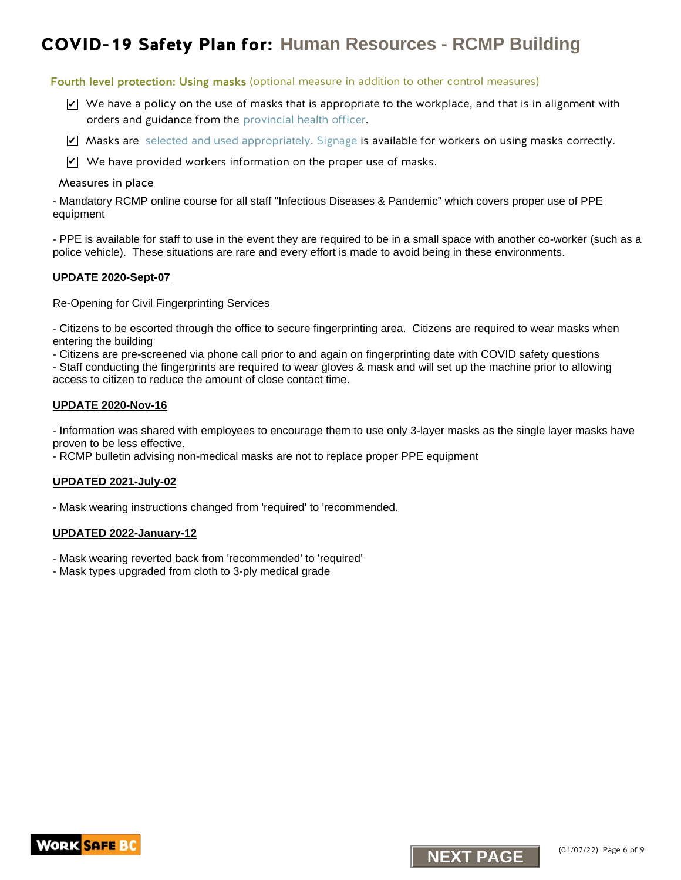#### Fourth level protection: Using masks (optional measure in addition to other control measures)

- $\triangledown$  We have a policy on the use of masks that is appropriate to the workplace, and that is in alignment with orders and guidance from the [provincial health officer.](https://www2.gov.bc.ca/gov/content/covid-19/info/restrictions) **VID-19 Safety Plan for: Human Resources - RCMP Building**<br> **Noting protection:** Using masts (optool messing in addition to other control messing)<br>
We have a policy on the use of masts (optool messing and the workplace and
- $\blacktriangledown$  Masks are [selected and used appropriately.](http://www.bccdc.ca/health-info/diseases-conditions/covid-19/prevention-risks/masks) [Signage](https://www.worksafebc.com/resources/health-safety/posters/prevent-spread-communicable-disease-how-to-use-mask?lang=en) is available for workers on using masks correctly.
- $\mathbf Z$  We have provided workers information on the proper use of masks.

#### Measures in place

- Mandatory RCMP online course for all staff "Infectious Diseases & Pandemic" which covers proper use of PPE equipment

- PPE is available for staff to use in the event they are required to be in a small space with another co-worker (such as a police vehicle). These situations are rare and every effort is made to avoid being in these environments.

#### **UPDATE 2020-Sept-07**

Re-Opening for Civil Fingerprinting Services

- Citizens to be escorted through the office to secure fingerprinting area. Citizens are required to wear masks when entering the building

- Citizens are pre-screened via phone call prior to and again on fingerprinting date with COVID safety questions

- Staff conducting the fingerprints are required to wear gloves & mask and will set up the machine prior to allowing access to citizen to reduce the amount of close contact time.

#### **UPDATE 2020-Nov-16**

- Information was shared with employees to encourage them to use only 3-layer masks as the single layer masks have proven to be less effective.

- RCMP bulletin advising non-medical masks are not to replace proper PPE equipment

#### **UPDATED 2021-July-02**

- Mask wearing instructions changed from 'required' to 'recommended.

#### **UPDATED 2022-January-12**

- Mask wearing reverted back from 'recommended' to 'required'

- Mask types upgraded from cloth to 3-ply medical grade

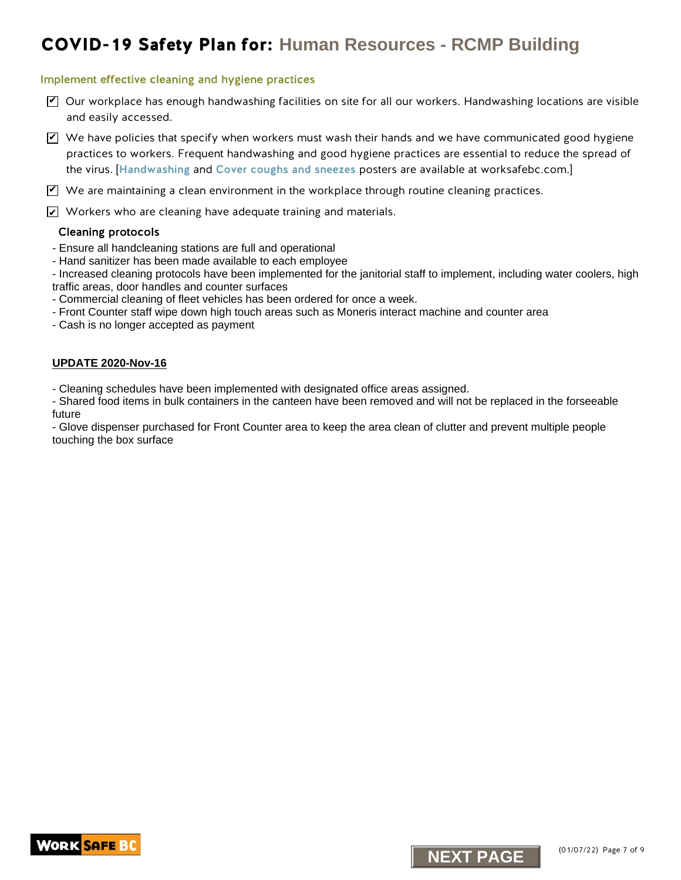#### Implement effective cleaning and hygiene practices

- $\triangledown$  Our workplace has enough handwashing facilities on site for all our workers. Handwashing locations are visible and easily accessed.
- $\blacktriangledown$  We have policies that specify when workers must wash their hands and we have communicated good hygiene practices to workers. Frequent handwashing and good hygiene practices are essential to reduce the spread of the virus. [[Handwashing](https://www.worksafebc.com/en/resources/health-safety/posters/help-prevent-spread-covid-19-handwashing?lang=en) and [Cover coughs and sneezes](https://www.worksafebc.com/en/resources/health-safety/posters/help-prevent-spread-covid-19-cover-coughs-sneezes?lang=en) posters are available at worksafebc.com.] **NEXT PAGE THE STATE AND THE SECT AND THE SECT AND THE SECT AND THE SECT AND THE SECT AND THE SECT AND THE SECT AND THE SECTION OF SECTION CONTINUES TO THE SECTION OF SECTION AND THE SECTION OF SECTION AND THE SECTION OF S**

 $\blacktriangledown$  We are maintaining a clean environment in the workplace through routine cleaning practices.

 $\angle\!\!\!\!\perp$  Workers who are cleaning have adequate training and materials.

#### Cleaning protocols

- Ensure all handcleaning stations are full and operational
- Hand sanitizer has been made available to each employee

- Increased cleaning protocols have been implemented for the janitorial staff to implement, including water coolers, high traffic areas, door handles and counter surfaces

- Commercial cleaning of fleet vehicles has been ordered for once a week.
- Front Counter staff wipe down high touch areas such as Moneris interact machine and counter area
- Cash is no longer accepted as payment

#### **UPDATE 2020-Nov-16**

- Cleaning schedules have been implemented with designated office areas assigned.

- Shared food items in bulk containers in the canteen have been removed and will not be replaced in the forseeable future

- Glove dispenser purchased for Front Counter area to keep the area clean of clutter and prevent multiple people touching the box surface



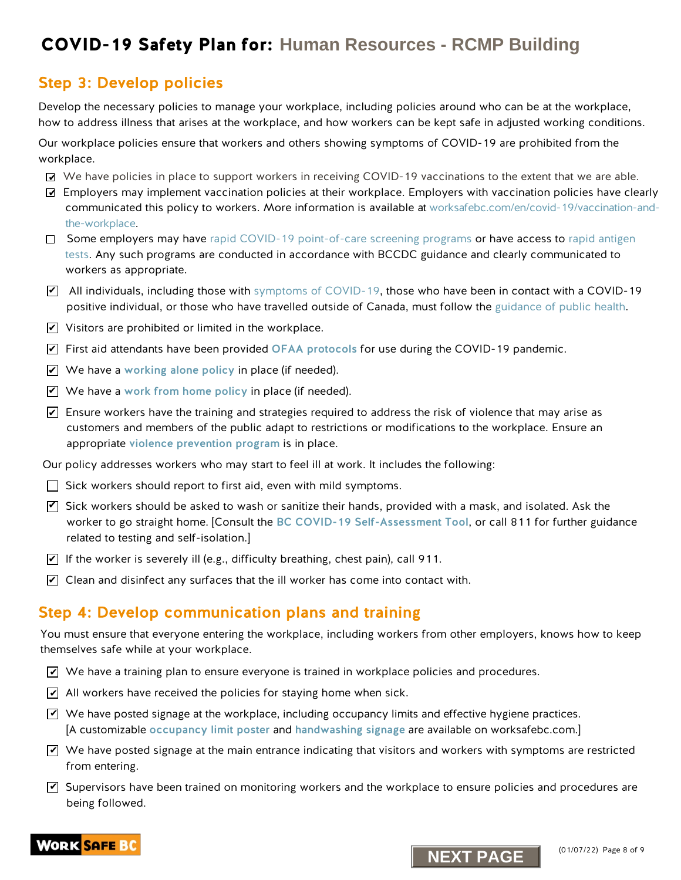### Step 3: Develop policies

Develop the necessary policies to manage your workplace, including policies around who can be at the workplace, how to address illness that arises at the workplace, and how workers can be kept safe in adjusted working conditions.

Our workplace policies ensure that workers and others showing symptoms of COVID-19 are prohibited from the workplace.

- We have policies in place to support workers in receiving COVID-19 vaccinations to the extent that we are able.
- Employers may implement vaccination policies at their workplace. Employers with vaccination policies have clearly communicated this policy to workers. More information is available at [worksafebc.com/en/covid-19/vaccination-and](www.worksafebc.com\en\covid-19\vaccination-and-the-workplace)the-workplace.
- □ Some employers may have rapid COVID-19 point-of-care screening programs or have access to rapid antigen tests. Any such programs are conducted in accordance with BCCDC guidance and clearly communicated to workers as appropriate.
- $\blacktriangledown$  All individuals, including those with symptoms of COVID-19, those who have been in contact with a COVID-19 positive individual, or those who have travelled outside of Canada, must follow the [guidance of public health](http://www.bccdc.ca/health-info/diseases-conditions/covid-19/self-isolation#How--long).
- $\blacktriangleright$  Visitors are prohibited or limited in the workplace.
- $\blacktriangleright$  First aid attendants have been provided OFAA protocols for use during the COVID-19 pandemic.
- $\blacktriangleright$  We have a [working alone policy](https://www.worksafebc.com/en/health-safety/hazards-exposures/working-alone) in place (if needed).
- $\blacktriangledown$  . We have a work from home policy in place (if needed).
- $\blacktriangleright$  Ensure workers have the training and strategies required to address the risk of violence that may arise as customers and members of the public adapt to restrictions or modifications to the workplace. Ensure an appropriate [violence prevention program](https://www.worksafebc.com/en/health-safety/hazards-exposures/violence) is in place.

Our policy addresses workers who may start to feel ill at work. It includes the following:

- $\Box$  Sick workers should report to first aid, even with mild symptoms.
- $\blacktriangledown$  Sick workers should be asked to wash or sanitize their hands, provided with a mask, and isolated. Ask the worker to go straight home. [Consult the [BC COVID-19 Self-Assessment Tool](https://bc.thrive.health/), or call 811 for further guidance related to testing and self-isolation.] **NEXT Plan for:** Human Resources - RCMP Building<br>
tep 2: Develop politics and the worker and the worker and the worker and the worker and the worker and the worker and the worker and the worker and the worker and the worke
- $\blacktriangleright$  If the worker is severely ill (e.g., difficulty breathing, chest pain), call 911.
- $\blacktriangleright$  Clean and disinfect any surfaces that the ill worker has come into contact with.

### Step 4: Develop communication plans and training

You must ensure that everyone entering the workplace, including workers from other employers, knows how to keep themselves safe while at your workplace.

- $\blacktriangleleft$  We have a training plan to ensure everyone is trained in workplace policies and procedures.
- $\blacktriangleright$  All workers have received the policies for staying home when sick.
- $\blacktriangledown$  We have posted signage at the workplace, including occupancy limits and effective hygiene practices. [A customizable [occupancy limit poster](https://www.worksafebc.com/en/resources/health-safety/posters/help-prevent-spread-covid-19-occupancy-limit?lang=en) and [handwashing signage](https://www.worksafebc.com/en/resources/health-safety/posters/help-prevent-spread-covid-19-handwashing?lang=en) are available on worksafebc.com.]
- $\blacktriangledown$  We have posted signage at the main entrance indicating that visitors and workers with symptoms are restricted from entering.
- $\blacktriangledown$  Supervisors have been trained on monitoring workers and the workplace to ensure policies and procedures are being followed.